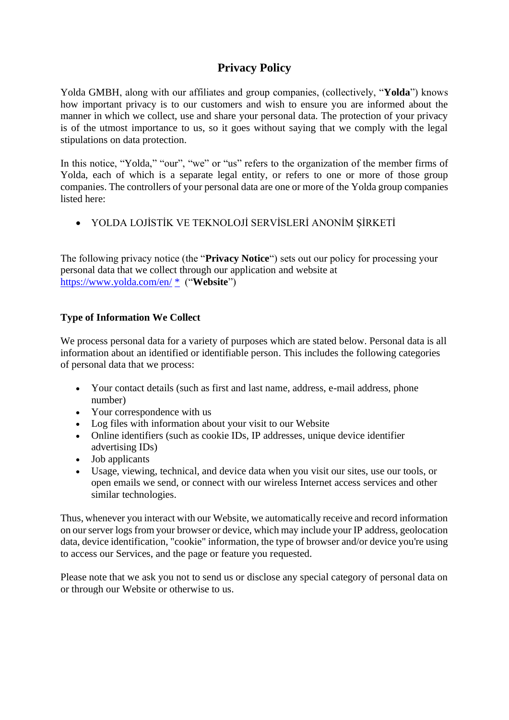# **Privacy Policy**

Yolda GMBH, along with our affiliates and group companies, (collectively, "**Yolda**") knows how important privacy is to our customers and wish to ensure you are informed about the manner in which we collect, use and share your personal data. The protection of your privacy is of the utmost importance to us, so it goes without saying that we comply with the legal stipulations on data protection.

In this notice, "Yolda," "our", "we" or "us" refers to the organization of the member firms of Yolda, each of which is a separate legal entity, or refers to one or more of those group companies. The controllers of your personal data are one or more of the Yolda group companies listed here:

• YOLDA LOJİSTİK VE TEKNOLOJİ SERVİSLERİ ANONİM ŞİRKETİ

The following privacy notice (the "**Privacy Notice**") sets out our policy for processing your personal data that we collect through our application and website at <https://www.yolda.com/en/> [\\*](https://212.vc/) ("**Website**")

# **Type of Information We Collect**

We process personal data for a variety of purposes which are stated below. Personal data is all information about an identified or identifiable person. This includes the following categories of personal data that we process:

- Your contact details (such as first and last name, address, e-mail address, phone number)
- Your correspondence with us
- Log files with information about your visit to our Website
- Online identifiers (such as cookie IDs, IP addresses, unique device identifier advertising IDs)
- Job applicants
- Usage, viewing, technical, and device data when you visit our sites, use our tools, or open emails we send, or connect with our wireless Internet access services and other similar technologies.

Thus, whenever you interact with our Website, we automatically receive and record information on our server logs from your browser or device, which may include your IP address, geolocation data, device identification, "cookie" information, the type of browser and/or device you're using to access our Services, and the page or feature you requested.

Please note that we ask you not to send us or disclose any special category of personal data on or through our Website or otherwise to us.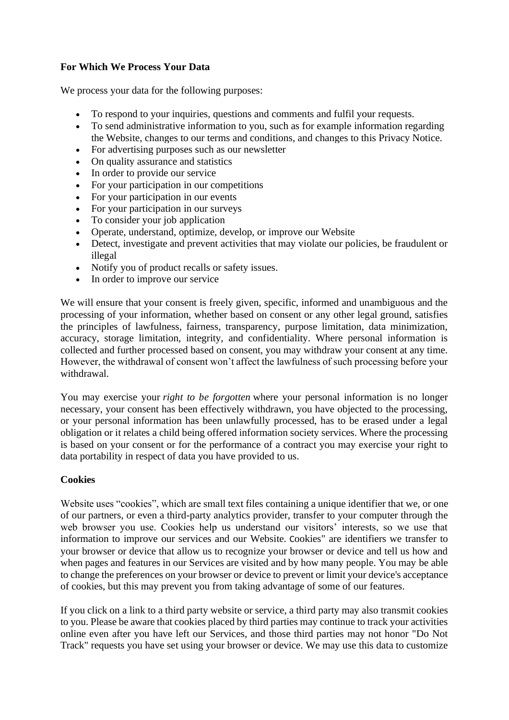# **For Which We Process Your Data**

We process your data for the following purposes:

- To respond to your inquiries, questions and comments and fulfil your requests.
- To send administrative information to you, such as for example information regarding the Website, changes to our terms and conditions, and changes to this Privacy Notice.
- For advertising purposes such as our newsletter
- On quality assurance and statistics
- In order to provide our service
- For your participation in our competitions
- For your participation in our events
- For your participation in our surveys
- To consider your job application
- Operate, understand, optimize, develop, or improve our Website
- Detect, investigate and prevent activities that may violate our policies, be fraudulent or illegal
- Notify you of product recalls or safety issues.
- In order to improve our service

We will ensure that your consent is freely given, specific, informed and unambiguous and the processing of your information, whether based on consent or any other legal ground, satisfies the principles of lawfulness, fairness, transparency, purpose limitation, data minimization, accuracy, storage limitation, integrity, and confidentiality. Where personal information is collected and further processed based on consent, you may withdraw your consent at any time. However, the withdrawal of consent won't affect the lawfulness of such processing before your withdrawal.

You may exercise your *right to be forgotten* where your personal information is no longer necessary, your consent has been effectively withdrawn, you have objected to the processing, or your personal information has been unlawfully processed, has to be erased under a legal obligation or it relates a child being offered information society services. Where the processing is based on your consent or for the performance of a contract you may exercise your right to data portability in respect of data you have provided to us.

## **Cookies**

Website uses "cookies", which are small text files containing a unique identifier that we, or one of our partners, or even a third-party analytics provider, transfer to your computer through the web browser you use. Cookies help us understand our visitors' interests, so we use that information to improve our services and our Website. Cookies" are identifiers we transfer to your browser or device that allow us to recognize your browser or device and tell us how and when pages and features in our Services are visited and by how many people. You may be able to change the preferences on your browser or device to prevent or limit your device's acceptance of cookies, but this may prevent you from taking advantage of some of our features.

If you click on a link to a third party website or service, a third party may also transmit cookies to you. Please be aware that cookies placed by third parties may continue to track your activities online even after you have left our Services, and those third parties may not honor "Do Not Track" requests you have set using your browser or device. We may use this data to customize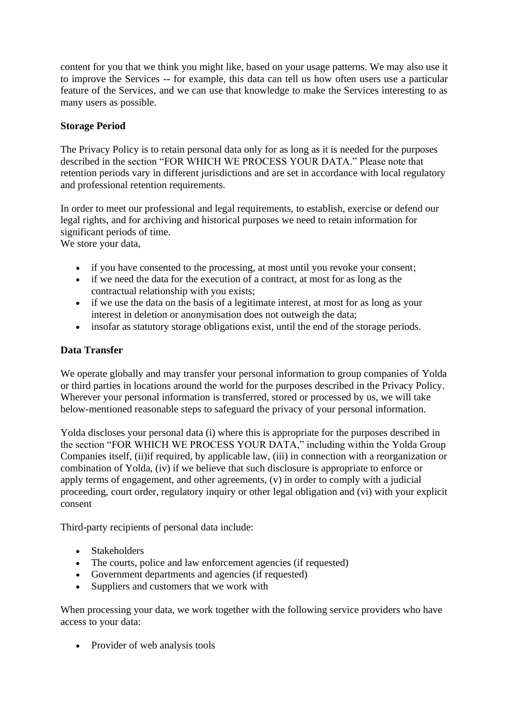content for you that we think you might like, based on your usage patterns. We may also use it to improve the Services -- for example, this data can tell us how often users use a particular feature of the Services, and we can use that knowledge to make the Services interesting to as many users as possible.

## **Storage Period**

The Privacy Policy is to retain personal data only for as long as it is needed for the purposes described in the section "FOR WHICH WE PROCESS YOUR DATA." Please note that retention periods vary in different jurisdictions and are set in accordance with local regulatory and professional retention requirements.

In order to meet our professional and legal requirements, to establish, exercise or defend our legal rights, and for archiving and historical purposes we need to retain information for significant periods of time.

We store your data,

- if you have consented to the processing, at most until you revoke your consent;
- if we need the data for the execution of a contract, at most for as long as the contractual relationship with you exists;
- if we use the data on the basis of a legitimate interest, at most for as long as your interest in deletion or anonymisation does not outweigh the data;
- insofar as statutory storage obligations exist, until the end of the storage periods.

## **Data Transfer**

We operate globally and may transfer your personal information to group companies of Yolda or third parties in locations around the world for the purposes described in the Privacy Policy. Wherever your personal information is transferred, stored or processed by us, we will take below-mentioned reasonable steps to safeguard the privacy of your personal information.

Yolda discloses your personal data (i) where this is appropriate for the purposes described in the section "FOR WHICH WE PROCESS YOUR DATA," including within the Yolda Group Companies itself, (ii)if required, by applicable law, (iii) in connection with a reorganization or combination of Yolda, (iv) if we believe that such disclosure is appropriate to enforce or apply terms of engagement, and other agreements, (v) in order to comply with a judicial proceeding, court order, regulatory inquiry or other legal obligation and (vi) with your explicit consent

Third-party recipients of personal data include:

- Stakeholders
- The courts, police and law enforcement agencies (if requested)
- Government departments and agencies (if requested)
- Suppliers and customers that we work with

When processing your data, we work together with the following service providers who have access to your data:

• Provider of web analysis tools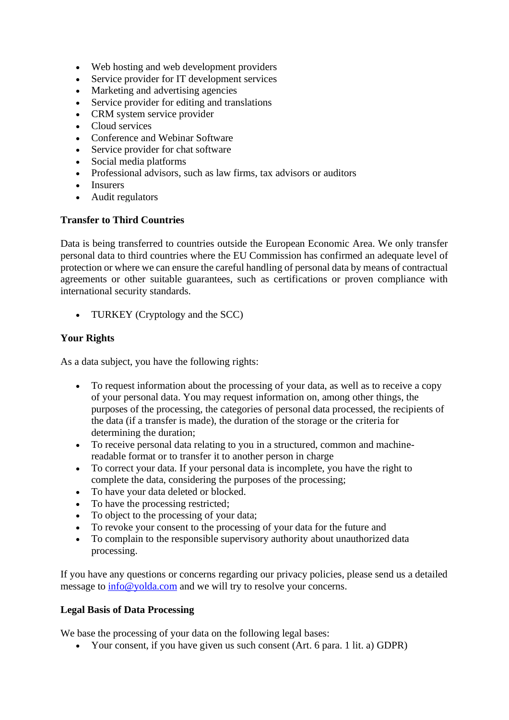- Web hosting and web development providers
- Service provider for IT development services
- Marketing and advertising agencies
- Service provider for editing and translations
- CRM system service provider
- Cloud services
- Conference and Webinar Software
- Service provider for chat software
- Social media platforms
- Professional advisors, such as law firms, tax advisors or auditors
- Insurers
- Audit regulators

#### **Transfer to Third Countries**

Data is being transferred to countries outside the European Economic Area. We only transfer personal data to third countries where the EU Commission has confirmed an adequate level of protection or where we can ensure the careful handling of personal data by means of contractual agreements or other suitable guarantees, such as certifications or proven compliance with international security standards.

• TURKEY (Cryptology and the SCC)

## **Your Rights**

As a data subject, you have the following rights:

- To request information about the processing of your data, as well as to receive a copy of your personal data. You may request information on, among other things, the purposes of the processing, the categories of personal data processed, the recipients of the data (if a transfer is made), the duration of the storage or the criteria for determining the duration;
- To receive personal data relating to you in a structured, common and machinereadable format or to transfer it to another person in charge
- To correct your data. If your personal data is incomplete, you have the right to complete the data, considering the purposes of the processing;
- To have your data deleted or blocked.
- To have the processing restricted:
- To object to the processing of your data;
- To revoke your consent to the processing of your data for the future and
- To complain to the responsible supervisory authority about unauthorized data processing.

If you have any questions or concerns regarding our privacy policies, please send us a detailed message to  $info@yolda.com$  and we will try to resolve your concerns.

## **Legal Basis of Data Processing**

We base the processing of your data on the following legal bases:

• Your consent, if you have given us such consent (Art. 6 para. 1 lit. a) GDPR)